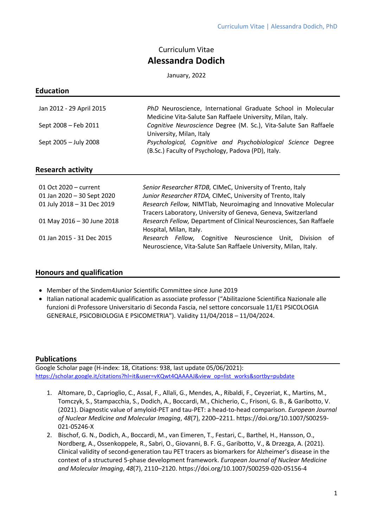# Curriculum Vitae **Alessandra Dodich**

January, 2022

#### **Education**

| Jan 2012 - 29 April 2015 | PhD Neuroscience, International Graduate School in Molecular<br>Medicine Vita-Salute San Raffaele University, Milan, Italy. |
|--------------------------|-----------------------------------------------------------------------------------------------------------------------------|
| Sept 2008 - Feb 2011     | Cognitive Neuroscience Degree (M. Sc.), Vita-Salute San Raffaele<br>University, Milan, Italy                                |
| Sept 2005 - July 2008    | Psychological, Cognitive and Psychobiological Science Degree<br>(B.Sc.) Faculty of Psychology, Padova (PD), Italy.          |

# **Research activity**

| 01 Oct 2020 – current<br>01 Jan 2020 - 30 Sept 2020<br>01 July 2018 - 31 Dec 2019 | Senior Researcher RTDB, CIMeC, University of Trento, Italy<br>Junior Researcher RTDA, CIMeC, University of Trento, Italy<br>Research Fellow, NIMTlab, Neuroimaging and Innovative Molecular |
|-----------------------------------------------------------------------------------|---------------------------------------------------------------------------------------------------------------------------------------------------------------------------------------------|
|                                                                                   | Tracers Laboratory, University of Geneva, Geneva, Switzerland                                                                                                                               |
| 01 May 2016 - 30 June 2018                                                        | Research Fellow, Department of Clinical Neurosciences, San Raffaele<br>Hospital, Milan, Italy.                                                                                              |
| 01 Jan 2015 - 31 Dec 2015                                                         | <i>Research Fellow,</i> Cognitive Neuroscience Unit, Division of<br>Neuroscience, Vita-Salute San Raffaele University, Milan, Italy.                                                        |

# **Honours and qualification**

- Member of the Sindem4Junior Scientific Committee since June 2019
- Italian national academic qualification as associate professor ("Abilitazione Scientifica Nazionale alle funzioni di Professore Universitario di Seconda Fascia, nel settore concorsuale 11/E1 PSICOLOGIA GENERALE, PSICOBIOLOGIA E PSICOMETRIA"). Validity 11/04/2018 – 11/04/2024.

# **Publications**

Google Scholar page (H-index: 18, Citations: 938, last update 05/06/2021): [https://scholar.google.it/citations?hl=it&user=vKQwt4QAAAAJ&view\\_op=list\\_works&sortby=pubdate](https://scholar.google.it/citations?hl=it&user=vKQwt4QAAAAJ&view_op=list_works&sortby=pubdate)

- 1. Altomare, D., Caprioglio, C., Assal, F., Allali, G., Mendes, A., Ribaldi, F., Ceyzeriat, K., Martins, M., Tomczyk, S., Stampacchia, S., Dodich, A., Boccardi, M., Chicherio, C., Frisoni, G. B., & Garibotto, V. (2021). Diagnostic value of amyloid-PET and tau-PET: a head-to-head comparison. *European Journal of Nuclear Medicine and Molecular Imaging*, *48*(7), 2200–2211. https://doi.org/10.1007/S00259- 021-05246-X
- 2. Bischof, G. N., Dodich, A., Boccardi, M., van Eimeren, T., Festari, C., Barthel, H., Hansson, O., Nordberg, A., Ossenkoppele, R., Sabri, O., Giovanni, B. F. G., Garibotto, V., & Drzezga, A. (2021). Clinical validity of second-generation tau PET tracers as biomarkers for Alzheimer's disease in the context of a structured 5-phase development framework. *European Journal of Nuclear Medicine and Molecular Imaging*, *48*(7), 2110–2120. https://doi.org/10.1007/S00259-020-05156-4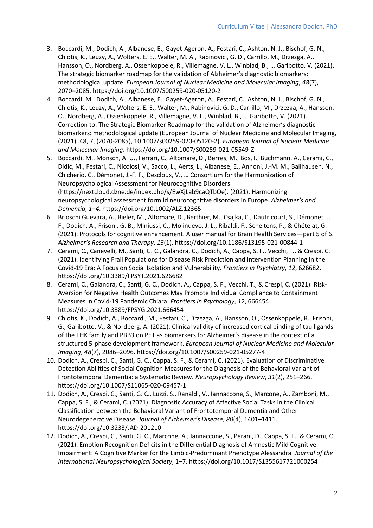- 3. Boccardi, M., Dodich, A., Albanese, E., Gayet-Ageron, A., Festari, C., Ashton, N. J., Bischof, G. N., Chiotis, K., Leuzy, A., Wolters, E. E., Walter, M. A., Rabinovici, G. D., Carrillo, M., Drzezga, A., Hansson, O., Nordberg, A., Ossenkoppele, R., Villemagne, V. L., Winblad, B., … Garibotto, V. (2021). The strategic biomarker roadmap for the validation of Alzheimer's diagnostic biomarkers: methodological update. *European Journal of Nuclear Medicine and Molecular Imaging*, *48*(7), 2070–2085. https://doi.org/10.1007/S00259-020-05120-2
- 4. Boccardi, M., Dodich, A., Albanese, E., Gayet-Ageron, A., Festari, C., Ashton, N. J., Bischof, G. N., Chiotis, K., Leuzy, A., Wolters, E. E., Walter, M., Rabinovici, G. D., Carrillo, M., Drzezga, A., Hansson, O., Nordberg, A., Ossenkoppele, R., Villemagne, V. L., Winblad, B., … Garibotto, V. (2021). Correction to: The Strategic Biomarker Roadmap for the validation of Alzheimer's diagnostic biomarkers: methodological update (European Journal of Nuclear Medicine and Molecular Imaging, (2021), 48, 7, (2070-2085), 10.1007/s00259-020-05120-2). *European Journal of Nuclear Medicine and Molecular Imaging*. https://doi.org/10.1007/S00259-021-05549-Z
- 5. Boccardi, M., Monsch, A. U., Ferrari, C., Altomare, D., Berres, M., Bos, I., Buchmann, A., Cerami, C., Didic, M., Festari, C., Nicolosi, V., Sacco, L., Aerts, L., Albanese, E., Annoni, J.-M. M., Ballhausen, N., Chicherio, C., Démonet, J.-F. F., Descloux, V., … Consortium for the Harmonization of Neuropsychological Assessment for Neurocognitive Disorders (https://nextcloud.dzne.de/index.php/s/EwXjLab9caQTbQe). (2021). Harmonizing neuropsychological assessment formild neurocognitive disorders in Europe. *Alzheimer's and Dementia*, *1*–*4*. https://doi.org/10.1002/ALZ.12365
- 6. Brioschi Guevara, A., Bieler, M., Altomare, D., Berthier, M., Csajka, C., Dautricourt, S., Démonet, J. F., Dodich, A., Frisoni, G. B., Miniussi, C., Molinuevo, J. L., Ribaldi, F., Scheltens, P., & Chételat, G. (2021). Protocols for cognitive enhancement. A user manual for Brain Health Services—part 5 of 6. *Alzheimer's Research and Therapy*, *13*(1). https://doi.org/10.1186/S13195-021-00844-1
- 7. Cerami, C., Canevelli, M., Santi, G. C., Galandra, C., Dodich, A., Cappa, S. F., Vecchi, T., & Crespi, C. (2021). Identifying Frail Populations for Disease Risk Prediction and Intervention Planning in the Covid-19 Era: A Focus on Social Isolation and Vulnerability. *Frontiers in Psychiatry*, *12*, 626682. https://doi.org/10.3389/FPSYT.2021.626682
- 8. Cerami, C., Galandra, C., Santi, G. C., Dodich, A., Cappa, S. F., Vecchi, T., & Crespi, C. (2021). Risk-Aversion for Negative Health Outcomes May Promote Individual Compliance to Containment Measures in Covid-19 Pandemic Chiara. *Frontiers in Psychology*, *12*, 666454. https://doi.org/10.3389/FPSYG.2021.666454
- 9. Chiotis, K., Dodich, A., Boccardi, M., Festari, C., Drzezga, A., Hansson, O., Ossenkoppele, R., Frisoni, G., Garibotto, V., & Nordberg, A. (2021). Clinical validity of increased cortical binding of tau ligands of the THK family and PBB3 on PET as biomarkers for Alzheimer's disease in the context of a structured 5-phase development framework. *European Journal of Nuclear Medicine and Molecular Imaging*, *48*(7), 2086–2096. https://doi.org/10.1007/S00259-021-05277-4
- 10. Dodich, A., Crespi, C., Santi, G. C., Cappa, S. F., & Cerami, C. (2021). Evaluation of Discriminative Detection Abilities of Social Cognition Measures for the Diagnosis of the Behavioral Variant of Frontotemporal Dementia: a Systematic Review. *Neuropsychology Review*, *31*(2), 251–266. https://doi.org/10.1007/S11065-020-09457-1
- 11. Dodich, A., Crespi, C., Santi, G. C., Luzzi, S., Ranaldi, V., Iannaccone, S., Marcone, A., Zamboni, M., Cappa, S. F., & Cerami, C. (2021). Diagnostic Accuracy of Affective Social Tasks in the Clinical Classification between the Behavioral Variant of Frontotemporal Dementia and Other Neurodegenerative Disease. *Journal of Alzheimer's Disease*, *80*(4), 1401–1411. https://doi.org/10.3233/JAD-201210
- 12. Dodich, A., Crespi, C., Santi, G. C., Marcone, A., Iannaccone, S., Perani, D., Cappa, S. F., & Cerami, C. (2021). Emotion Recognition Deficits in the Differential Diagnosis of Amnestic Mild Cognitive Impairment: A Cognitive Marker for the Limbic-Predominant Phenotype Alessandra. *Journal of the International Neuropsychological Society*, 1–7. https://doi.org/10.1017/S1355617721000254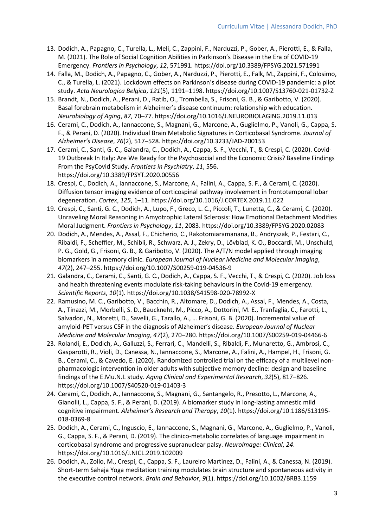- 13. Dodich, A., Papagno, C., Turella, L., Meli, C., Zappini, F., Narduzzi, P., Gober, A., Pierotti, E., & Falla, M. (2021). The Role of Social Cognition Abilities in Parkinson's Disease in the Era of COVID-19 Emergency. *Frontiers in Psychology*, *12*, 571991. https://doi.org/10.3389/FPSYG.2021.571991
- 14. Falla, M., Dodich, A., Papagno, C., Gober, A., Narduzzi, P., Pierotti, E., Falk, M., Zappini, F., Colosimo, C., & Turella, L. (2021). Lockdown effects on Parkinson's disease during COVID-19 pandemic: a pilot study. *Acta Neurologica Belgica*, *121*(5), 1191–1198. https://doi.org/10.1007/S13760-021-01732-Z
- 15. Brandt, N., Dodich, A., Perani, D., Ratib, O., Trombella, S., Frisoni, G. B., & Garibotto, V. (2020). Basal forebrain metabolism in Alzheimer's disease continuum: relationship with education. *Neurobiology of Aging*, *87*, 70–77. https://doi.org/10.1016/J.NEUROBIOLAGING.2019.11.013
- 16. Cerami, C., Dodich, A., Iannaccone, S., Magnani, G., Marcone, A., Guglielmo, P., Vanoli, G., Cappa, S. F., & Perani, D. (2020). Individual Brain Metabolic Signatures in Corticobasal Syndrome. *Journal of Alzheimer's Disease*, *76*(2), 517–528. https://doi.org/10.3233/JAD-200153
- 17. Cerami, C., Santi, G. C., Galandra, C., Dodich, A., Cappa, S. F., Vecchi, T., & Crespi, C. (2020). Covid-19 Outbreak In Italy: Are We Ready for the Psychosocial and the Economic Crisis? Baseline Findings From the PsyCovid Study. *Frontiers in Psychiatry*, *11*, 556. https://doi.org/10.3389/FPSYT.2020.00556
- 18. Crespi, C., Dodich, A., Iannaccone, S., Marcone, A., Falini, A., Cappa, S. F., & Cerami, C. (2020). Diffusion tensor imaging evidence of corticospinal pathway involvement in frontotemporal lobar degeneration. *Cortex*, *125*, 1–11. https://doi.org/10.1016/J.CORTEX.2019.11.022
- 19. Crespi, C., Santi, G. C., Dodich, A., Lupo, F., Greco, L. C., Piccoli, T., Lunetta, C., & Cerami, C. (2020). Unraveling Moral Reasoning in Amyotrophic Lateral Sclerosis: How Emotional Detachment Modifies Moral Judgment. *Frontiers in Psychology*, *11*, 2083. https://doi.org/10.3389/FPSYG.2020.02083
- 20. Dodich, A., Mendes, A., Assal, F., Chicherio, C., Rakotomiaramanana, B., Andryszak, P., Festari, C., Ribaldi, F., Scheffler, M., Schibli, R., Schwarz, A. J., Zekry, D., Lövblad, K. O., Boccardi, M., Unschuld, P. G., Gold, G., Frisoni, G. B., & Garibotto, V. (2020). The A/T/N model applied through imaging biomarkers in a memory clinic. *European Journal of Nuclear Medicine and Molecular Imaging*, *47*(2), 247–255. https://doi.org/10.1007/S00259-019-04536-9
- 21. Galandra, C., Cerami, C., Santi, G. C., Dodich, A., Cappa, S. F., Vecchi, T., & Crespi, C. (2020). Job loss and health threatening events modulate risk-taking behaviours in the Covid-19 emergency. *Scientific Reports*, *10*(1). https://doi.org/10.1038/S41598-020-78992-X
- 22. Ramusino, M. C., Garibotto, V., Bacchin, R., Altomare, D., Dodich, A., Assal, F., Mendes, A., Costa, A., Tinazzi, M., Morbelli, S. D., Bauckneht, M., Picco, A., Dottorini, M. E., Tranfaglia, C., Farotti, L., Salvadori, N., Moretti, D., Savelli, G., Tarallo, A., … Frisoni, G. B. (2020). Incremental value of amyloid-PET versus CSF in the diagnosis of Alzheimer's disease. *European Journal of Nuclear Medicine and Molecular Imaging*, *47*(2), 270–280. https://doi.org/10.1007/S00259-019-04466-6
- 23. Rolandi, E., Dodich, A., Galluzzi, S., Ferrari, C., Mandelli, S., Ribaldi, F., Munaretto, G., Ambrosi, C., Gasparotti, R., Violi, D., Canessa, N., Iannaccone, S., Marcone, A., Falini, A., Hampel, H., Frisoni, G. B., Cerami, C., & Cavedo, E. (2020). Randomized controlled trial on the efficacy of a multilevel nonpharmacologic intervention in older adults with subjective memory decline: design and baseline findings of the E.Mu.N.I. study. *Aging Clinical and Experimental Research*, *32*(5), 817–826. https://doi.org/10.1007/S40520-019-01403-3
- 24. Cerami, C., Dodich, A., Iannaccone, S., Magnani, G., Santangelo, R., Presotto, L., Marcone, A., Gianolli, L., Cappa, S. F., & Perani, D. (2019). A biomarker study in long-lasting amnestic mild cognitive impairment. *Alzheimer's Research and Therapy*, *10*(1). https://doi.org/10.1186/S13195- 018-0369-8
- 25. Dodich, A., Cerami, C., Inguscio, E., Iannaccone, S., Magnani, G., Marcone, A., Guglielmo, P., Vanoli, G., Cappa, S. F., & Perani, D. (2019). The clinico-metabolic correlates of language impairment in corticobasal syndrome and progressive supranuclear palsy. *NeuroImage: Clinical*, *24*. https://doi.org/10.1016/J.NICL.2019.102009
- 26. Dodich, A., Zollo, M., Crespi, C., Cappa, S. F., Laureiro Martinez, D., Falini, A., & Canessa, N. (2019). Short-term Sahaja Yoga meditation training modulates brain structure and spontaneous activity in the executive control network. *Brain and Behavior*, *9*(1). https://doi.org/10.1002/BRB3.1159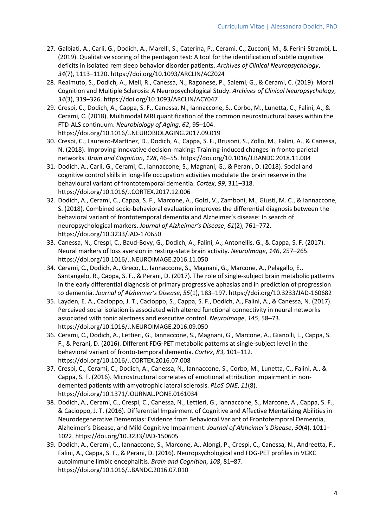- 27. Galbiati, A., Carli, G., Dodich, A., Marelli, S., Caterina, P., Cerami, C., Zucconi, M., & Ferini-Strambi, L. (2019). Qualitative scoring of the pentagon test: A tool for the identification of subtle cognitive deficits in isolated rem sleep behavior disorder patients. *Archives of Clinical Neuropsychology*, *34*(7), 1113–1120. https://doi.org/10.1093/ARCLIN/ACZ024
- 28. Realmuto, S., Dodich, A., Meli, R., Canessa, N., Ragonese, P., Salemi, G., & Cerami, C. (2019). Moral Cognition and Multiple Sclerosis: A Neuropsychological Study. *Archives of Clinical Neuropsychology*, *34*(3), 319–326. https://doi.org/10.1093/ARCLIN/ACY047
- 29. Crespi, C., Dodich, A., Cappa, S. F., Canessa, N., Iannaccone, S., Corbo, M., Lunetta, C., Falini, A., & Cerami, C. (2018). Multimodal MRI quantification of the common neurostructural bases within the FTD-ALS continuum. *Neurobiology of Aging*, *62*, 95–104. https://doi.org/10.1016/J.NEUROBIOLAGING.2017.09.019
- 30. Crespi, C., Laureiro-Martínez, D., Dodich, A., Cappa, S. F., Brusoni, S., Zollo, M., Falini, A., & Canessa, N. (2018). Improving innovative decision-making: Training-induced changes in fronto-parietal networks. *Brain and Cognition*, *128*, 46–55. https://doi.org/10.1016/J.BANDC.2018.11.004
- 31. Dodich, A., Carli, G., Cerami, C., Iannaccone, S., Magnani, G., & Perani, D. (2018). Social and cognitive control skills in long-life occupation activities modulate the brain reserve in the behavioural variant of frontotemporal dementia. *Cortex*, *99*, 311–318. https://doi.org/10.1016/J.CORTEX.2017.12.006
- 32. Dodich, A., Cerami, C., Cappa, S. F., Marcone, A., Golzi, V., Zamboni, M., Giusti, M. C., & Iannaccone, S. (2018). Combined socio-behavioral evaluation improves the differential diagnosis between the behavioral variant of frontotemporal dementia and Alzheimer's disease: In search of neuropsychological markers. *Journal of Alzheimer's Disease*, *61*(2), 761–772. https://doi.org/10.3233/JAD-170650
- 33. Canessa, N., Crespi, C., Baud-Bovy, G., Dodich, A., Falini, A., Antonellis, G., & Cappa, S. F. (2017). Neural markers of loss aversion in resting-state brain activity. *NeuroImage*, *146*, 257–265. https://doi.org/10.1016/J.NEUROIMAGE.2016.11.050
- 34. Cerami, C., Dodich, A., Greco, L., Iannaccone, S., Magnani, G., Marcone, A., Pelagallo, E., Santangelo, R., Cappa, S. F., & Perani, D. (2017). The role of single-subject brain metabolic patterns in the early differential diagnosis of primary progressive aphasias and in prediction of progression to dementia. *Journal of Alzheimer's Disease*, *55*(1), 183–197. https://doi.org/10.3233/JAD-160682
- 35. Layden, E. A., Cacioppo, J. T., Cacioppo, S., Cappa, S. F., Dodich, A., Falini, A., & Canessa, N. (2017). Perceived social isolation is associated with altered functional connectivity in neural networks associated with tonic alertness and executive control. *NeuroImage*, *145*, 58–73. https://doi.org/10.1016/J.NEUROIMAGE.2016.09.050
- 36. Cerami, C., Dodich, A., Lettieri, G., Iannaccone, S., Magnani, G., Marcone, A., Gianolli, L., Cappa, S. F., & Perani, D. (2016). Different FDG-PET metabolic patterns at single-subject level in the behavioral variant of fronto-temporal dementia. *Cortex*, *83*, 101–112. https://doi.org/10.1016/J.CORTEX.2016.07.008
- 37. Crespi, C., Cerami, C., Dodich, A., Canessa, N., Iannaccone, S., Corbo, M., Lunetta, C., Falini, A., & Cappa, S. F. (2016). Microstructural correlates of emotional attribution impairment in nondemented patients with amyotrophic lateral sclerosis. *PLoS ONE*, *11*(8). https://doi.org/10.1371/JOURNAL.PONE.0161034
- 38. Dodich, A., Cerami, C., Crespi, C., Canessa, N., Lettieri, G., Iannaccone, S., Marcone, A., Cappa, S. F., & Cacioppo, J. T. (2016). Differential Impairment of Cognitive and Affective Mentalizing Abilities in Neurodegenerative Dementias: Evidence from Behavioral Variant of Frontotemporal Dementia, Alzheimer's Disease, and Mild Cognitive Impairment. *Journal of Alzheimer's Disease*, *50*(4), 1011– 1022. https://doi.org/10.3233/JAD-150605
- 39. Dodich, A., Cerami, C., Iannaccone, S., Marcone, A., Alongi, P., Crespi, C., Canessa, N., Andreetta, F., Falini, A., Cappa, S. F., & Perani, D. (2016). Neuropsychological and FDG-PET profiles in VGKC autoimmune limbic encephalitis. *Brain and Cognition*, *108*, 81–87. https://doi.org/10.1016/J.BANDC.2016.07.010